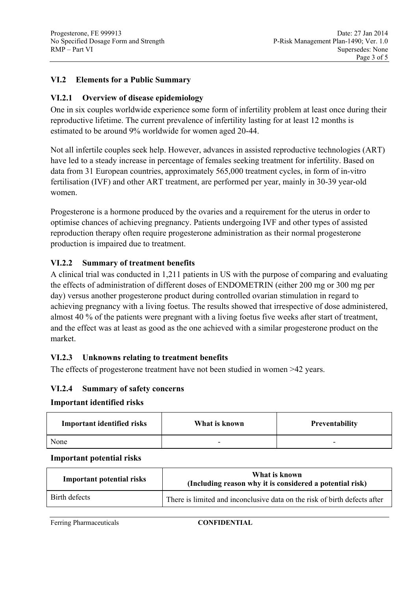## **VI.2 Elements for a Public Summary**

## **VI.2.1 Overview of disease epidemiology**

One in six couples worldwide experience some form of infertility problem at least once during their reproductive lifetime. The current prevalence of infertility lasting for at least 12 months is estimated to be around 9% worldwide for women aged 20-44.

Not all infertile couples seek help. However, advances in assisted reproductive technologies (ART) have led to a steady increase in percentage of females seeking treatment for infertility. Based on data from 31 European countries, approximately 565,000 treatment cycles, in form of in-vitro fertilisation (IVF) and other ART treatment, are performed per year, mainly in 30-39 year-old women.

Progesterone is a hormone produced by the ovaries and a requirement for the uterus in order to optimise chances of achieving pregnancy. Patients undergoing IVF and other types of assisted reproduction therapy often require progesterone administration as their normal progesterone production is impaired due to treatment.

## **VI.2.2 Summary of treatment benefits**

A clinical trial was conducted in 1,211 patients in US with the purpose of comparing and evaluating the effects of administration of different doses of ENDOMETRIN (either 200 mg or 300 mg per day) versus another progesterone product during controlled ovarian stimulation in regard to achieving pregnancy with a living foetus. The results showed that irrespective of dose administered, almost 40 % of the patients were pregnant with a living foetus five weeks after start of treatment, and the effect was at least as good as the one achieved with a similar progesterone product on the market.

## **VI.2.3 Unknowns relating to treatment benefits**

The effects of progesterone treatment have not been studied in women >42 years.

## **VI.2.4 Summary of safety concerns**

### **Important identified risks**

| <b>Important identified risks</b> | What is known | <b>Preventability</b> |
|-----------------------------------|---------------|-----------------------|
| None                              |               |                       |

#### **Important potential risks**

| <b>Important potential risks</b> | What is known<br>(Including reason why it is considered a potential risk) |  |
|----------------------------------|---------------------------------------------------------------------------|--|
| Birth defects                    | There is limited and inconclusive data on the risk of birth defects after |  |

Ferring Pharmaceuticals **CONFIDENTIAL**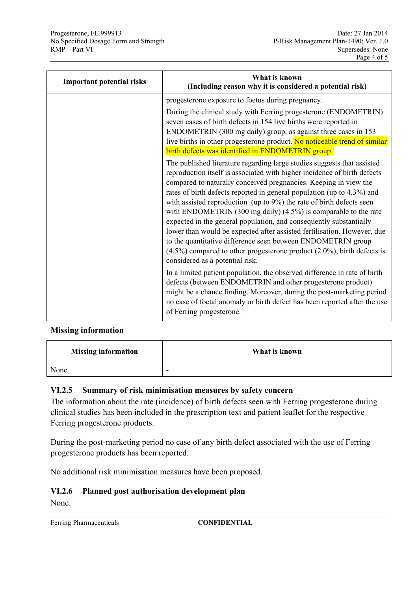| <b>Important potential risks</b> | What is known<br>(Including reason why it is considered a potential risk)                                                                                                                                                                                                                                                                                                                                                                                                                                                                                                                                                                                                                                                                                                                |  |
|----------------------------------|------------------------------------------------------------------------------------------------------------------------------------------------------------------------------------------------------------------------------------------------------------------------------------------------------------------------------------------------------------------------------------------------------------------------------------------------------------------------------------------------------------------------------------------------------------------------------------------------------------------------------------------------------------------------------------------------------------------------------------------------------------------------------------------|--|
|                                  | progesterone exposure to foetus during pregnancy.                                                                                                                                                                                                                                                                                                                                                                                                                                                                                                                                                                                                                                                                                                                                        |  |
|                                  | During the clinical study with Ferring progesterone (ENDOMETRIN)<br>seven cases of birth defects in 154 live births were reported in<br>ENDOMETRIN (300 mg daily) group, as against three cases in 153<br>live births in other progesterone product. No noticeable trend of similar<br>birth defects was identified in ENDOMETRIN group.                                                                                                                                                                                                                                                                                                                                                                                                                                                 |  |
|                                  | The published literature regarding large studies suggests that assisted<br>reproduction itself is associated with higher incidence of birth defects<br>compared to naturally conceived pregnancies. Keeping in view the<br>rates of birth defects reported in general population (up to 4.3%) and<br>with assisted reproduction (up to $9\%$ ) the rate of birth defects seen<br>with ENDOMETRIN (300 mg daily) $(4.5\%)$ is comparable to the rate<br>expected in the general population, and consequently substantially<br>lower than would be expected after assisted fertilisation. However, due<br>to the quantitative difference seen between ENDOMETRIN group<br>$(4.5\%)$ compared to other progesterone product $(2.0\%)$ , birth defects is<br>considered as a potential risk. |  |
|                                  | In a limited patient population, the observed difference in rate of birth<br>defects (between ENDOMETRIN and other progesterone product)<br>might be a chance finding. Moreover, during the post-marketing period<br>no case of foetal anomaly or birth defect has been reported after the use<br>of Ferring progesterone.                                                                                                                                                                                                                                                                                                                                                                                                                                                               |  |

### **Missing information**

| <b>Missing information</b> | What is known            |
|----------------------------|--------------------------|
| None                       | $\overline{\phantom{a}}$ |

### **VI.2.5 Summary of risk minimisation measures by safety concern**

The information about the rate (incidence) of birth defects seen with Ferring progesterone during clinical studies has been included in the prescription text and patient leaflet for the respective Ferring progesterone products.

During the post-marketing period no case of any birth defect associated with the use of Ferring progesterone products has been reported.

No additional risk minimisation measures have been proposed.

### **VI.2.6 Planned post authorisation development plan**

None.

Ferring Pharmaceuticals **CONFIDENTIAL**